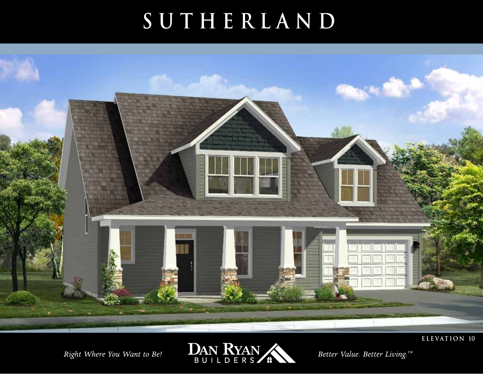# SUTHERLAND



Right Where You Want to Be!

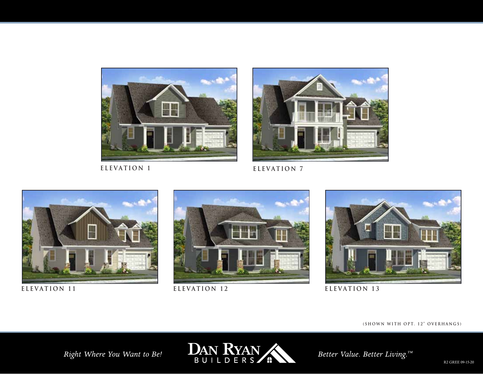

**ELEVATION 1 ELEVATION 7**









**ELEVATION 11 ELEVATION 12 ELEVATION 13** 

**(SHOWN WITH OPT. 12" OVERHANGS)**

Right Where You Want to Be!

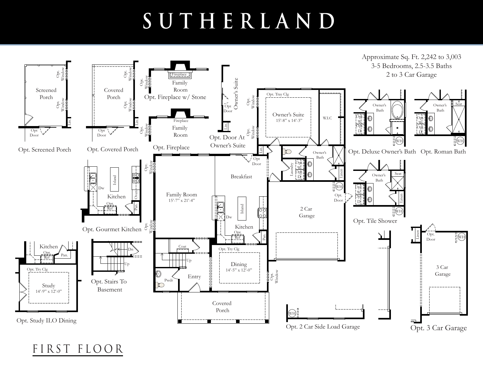# **SUTHERLAND**



FIRST FLOOR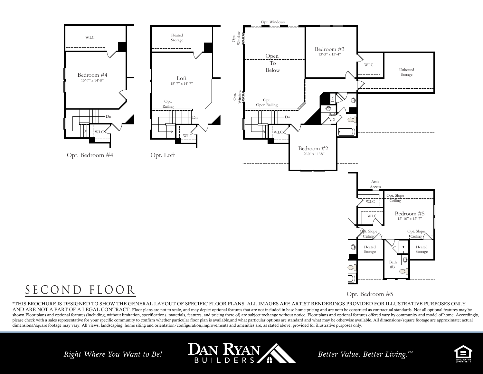

### SECOND FLOOR

Opt. Bedroom #5

\*THIS BROCHURE IS DESIGNED TO SHOW THE GENERAL LAYOUT OF SPECIFIC FLOOR PLANS. ALL IMAGES ARE ARTIST RENDERINGS PROVIDED FOR ILLUSTRATIVE PURPOSES ONLY AND ARE NOT A PART OF A LEGAL CONTRACT. Floor plans are not to scale, and may depict optional features that are not included in base home pricing and are noto be construed as contractual standards. Not all optional feature shown.Floor plans and optional features (including, without limitation, specifications, materials, features, and pricing there of) are subject tochange without notice. Floor plans and optional features offered vary by comm please check with a sales representative for your specific community to confirm whether particular floor plan is available, and what particular options are standard and what may be otherwise available. All dimensions/squar

Right Where You Want to Be!